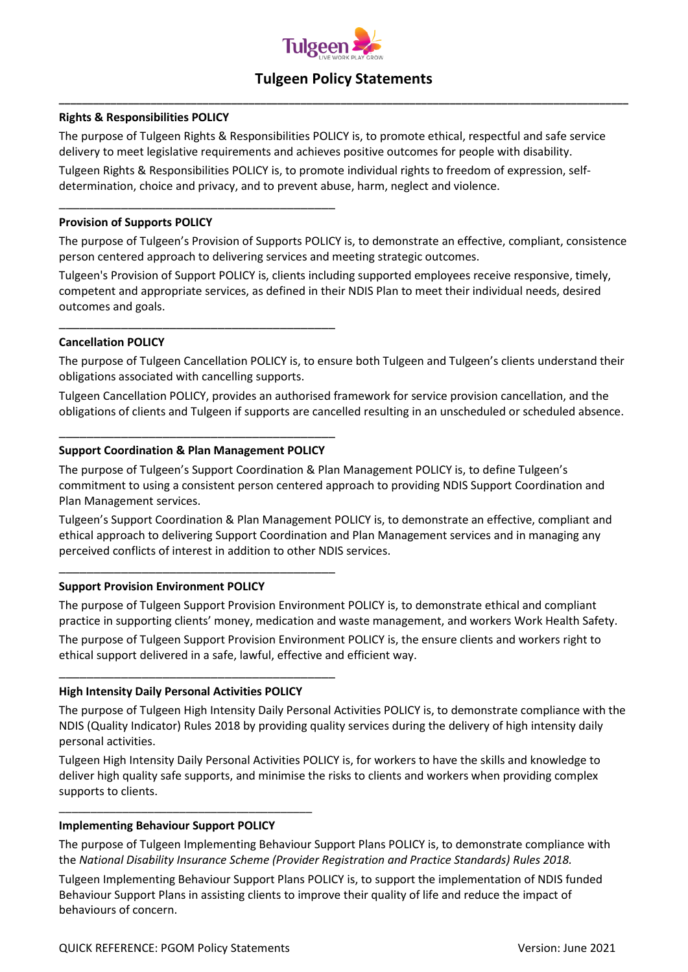

# **Tulgeen Policy Statements \_\_\_\_\_\_\_\_\_\_\_\_\_\_\_\_\_\_\_\_\_\_\_\_\_\_\_\_\_\_\_\_\_\_\_\_\_\_\_\_\_\_\_\_\_\_\_\_\_\_\_\_\_\_\_\_\_\_\_\_\_\_\_\_\_\_\_\_\_\_\_\_\_\_\_\_\_\_\_\_\_\_\_\_\_\_\_\_\_\_\_\_\_\_\_\_\_\_\_**

#### **Rights & Responsibilities POLICY**

The purpose of Tulgeen Rights & Responsibilities POLICY is, to promote ethical, respectful and safe service delivery to meet legislative requirements and achieves positive outcomes for people with disability.

Tulgeen Rights & Responsibilities POLICY is, to promote individual rights to freedom of expression, selfdetermination, choice and privacy, and to prevent abuse, harm, neglect and violence.

#### **Provision of Supports POLICY**

The purpose of Tulgeen's Provision of Supports POLICY is, to demonstrate an effective, compliant, consistence person centered approach to delivering services and meeting strategic outcomes.

Tulgeen's Provision of Support POLICY is, clients including supported employees receive responsive, timely, competent and appropriate services, as defined in their NDIS Plan to meet their individual needs, desired outcomes and goals.

## **Cancellation POLICY**

The purpose of Tulgeen Cancellation POLICY is, to ensure both Tulgeen and Tulgeen's clients understand their obligations associated with cancelling supports.

Tulgeen Cancellation POLICY, provides an authorised framework for service provision cancellation, and the obligations of clients and Tulgeen if supports are cancelled resulting in an unscheduled or scheduled absence.

## \_\_\_\_\_\_\_\_\_\_\_\_\_\_\_\_\_\_\_\_\_\_\_\_\_\_\_\_\_\_\_\_\_\_\_\_\_\_\_\_ **Support Coordination & Plan Management POLICY**

\_\_\_\_\_\_\_\_\_\_\_\_\_\_\_\_\_\_\_\_\_\_\_\_\_\_\_\_\_\_\_\_\_\_\_\_\_\_\_\_

\_\_\_\_\_\_\_\_\_\_\_\_\_\_\_\_\_\_\_\_\_\_\_\_\_\_\_\_\_\_\_\_\_\_\_\_\_\_\_\_

\_\_\_\_\_\_\_\_\_\_\_\_\_\_\_\_\_\_\_\_\_\_\_\_\_\_\_\_\_\_\_\_\_\_\_\_\_\_\_\_

The purpose of Tulgeen's Support Coordination & Plan Management POLICY is, to define Tulgeen's commitment to using a consistent person centered approach to providing NDIS Support Coordination and Plan Management services.

Tulgeen's Support Coordination & Plan Management POLICY is, to demonstrate an effective, compliant and ethical approach to delivering Support Coordination and Plan Management services and in managing any perceived conflicts of interest in addition to other NDIS services.

#### **Support Provision Environment POLICY**

The purpose of Tulgeen Support Provision Environment POLICY is, to demonstrate ethical and compliant practice in supporting clients' money, medication and waste management, and workers Work Health Safety.

The purpose of Tulgeen Support Provision Environment POLICY is, the ensure clients and workers right to ethical support delivered in a safe, lawful, effective and efficient way.

## **High Intensity Daily Personal Activities POLICY**

\_\_\_\_\_\_\_\_\_\_\_\_\_\_\_\_\_\_\_\_\_\_\_\_\_\_\_\_\_\_\_\_\_\_\_\_\_\_\_\_

The purpose of Tulgeen High Intensity Daily Personal Activities POLICY is, to demonstrate compliance with the NDIS (Quality Indicator) Rules 2018 by providing quality services during the delivery of high intensity daily personal activities.

Tulgeen High Intensity Daily Personal Activities POLICY is, for workers to have the skills and knowledge to deliver high quality safe supports, and minimise the risks to clients and workers when providing complex supports to clients.

#### **Implementing Behaviour Support POLICY**

\_\_\_\_\_\_\_\_\_\_\_\_\_\_\_\_\_\_\_\_\_\_\_\_\_\_\_\_\_\_\_\_\_\_\_\_\_\_\_\_

The purpose of Tulgeen Implementing Behaviour Support Plans POLICY is, to demonstrate compliance with the *National Disability Insurance Scheme (Provider Registration and Practice Standards) Rules 2018.* 

Tulgeen Implementing Behaviour Support Plans POLICY is, to support the implementation of NDIS funded Behaviour Support Plans in assisting clients to improve their quality of life and reduce the impact of behaviours of concern.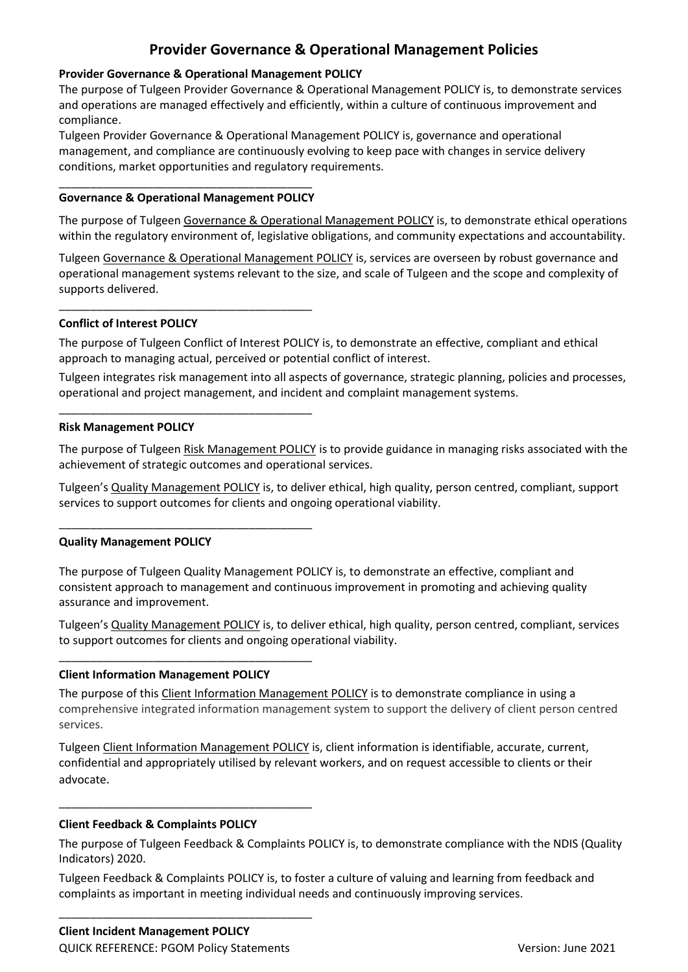# **Provider Governance & Operational Management Policies**

## **Provider Governance & Operational Management POLICY**

The purpose of Tulgeen Provider Governance & Operational Management POLICY is, to demonstrate services and operations are managed effectively and efficiently, within a culture of continuous improvement and compliance.

Tulgeen Provider Governance & Operational Management POLICY is, governance and operational management, and compliance are continuously evolving to keep pace with changes in service delivery conditions, market opportunities and regulatory requirements.

#### \_\_\_\_\_\_\_\_\_\_\_\_\_\_\_\_\_\_\_\_\_\_\_\_\_\_\_\_\_\_\_\_\_\_\_\_\_\_\_\_ **Governance & Operational Management POLICY**

\_\_\_\_\_\_\_\_\_\_\_\_\_\_\_\_\_\_\_\_\_\_\_\_\_\_\_\_\_\_\_\_\_\_\_\_\_\_\_\_

\_\_\_\_\_\_\_\_\_\_\_\_\_\_\_\_\_\_\_\_\_\_\_\_\_\_\_\_\_\_\_\_\_\_\_\_\_\_\_\_

\_\_\_\_\_\_\_\_\_\_\_\_\_\_\_\_\_\_\_\_\_\_\_\_\_\_\_\_\_\_\_\_\_\_\_\_\_\_\_\_

The purpose of Tulgeen Governance & Operational Management POLICY is, to demonstrate ethical operations within the regulatory environment of, legislative obligations, and community expectations and accountability.

Tulgeen Governance & Operational Management POLICY is, services are overseen by robust governance and operational management systems relevant to the size, and scale of Tulgeen and the scope and complexity of supports delivered.

## **Conflict of Interest POLICY**

The purpose of Tulgeen Conflict of Interest POLICY is, to demonstrate an effective, compliant and ethical approach to managing actual, perceived or potential conflict of interest.

Tulgeen integrates risk management into all aspects of governance, strategic planning, policies and processes, operational and project management, and incident and complaint management systems.

## **Risk Management POLICY**

The purpose of Tulgeen Risk Management POLICY is to provide guidance in managing risks associated with the achievement of strategic outcomes and operational services.

Tulgeen's Quality Management POLICY is, to deliver ethical, high quality, person centred, compliant, support services to support outcomes for clients and ongoing operational viability.

## **Quality Management POLICY**

The purpose of Tulgeen Quality Management POLICY is, to demonstrate an effective, compliant and consistent approach to management and continuous improvement in promoting and achieving quality assurance and improvement.

Tulgeen's Quality Management POLICY is, to deliver ethical, high quality, person centred, compliant, services to support outcomes for clients and ongoing operational viability.

## **Client Information Management POLICY**

\_\_\_\_\_\_\_\_\_\_\_\_\_\_\_\_\_\_\_\_\_\_\_\_\_\_\_\_\_\_\_\_\_\_\_\_\_\_\_\_

\_\_\_\_\_\_\_\_\_\_\_\_\_\_\_\_\_\_\_\_\_\_\_\_\_\_\_\_\_\_\_\_\_\_\_\_\_\_\_\_

The purpose of this Client Information Management POLICY is to demonstrate compliance in using a comprehensive integrated information management system to support the delivery of client person centred services.

Tulgeen Client Information Management POLICY is, client information is identifiable, accurate, current, confidential and appropriately utilised by relevant workers, and on request accessible to clients or their advocate.

## **Client Feedback & Complaints POLICY**

The purpose of Tulgeen Feedback & Complaints POLICY is, to demonstrate compliance with the NDIS (Quality Indicators) 2020.

Tulgeen Feedback & Complaints POLICY is, to foster a culture of valuing and learning from feedback and complaints as important in meeting individual needs and continuously improving services.

\_\_\_\_\_\_\_\_\_\_\_\_\_\_\_\_\_\_\_\_\_\_\_\_\_\_\_\_\_\_\_\_\_\_\_\_\_\_\_\_